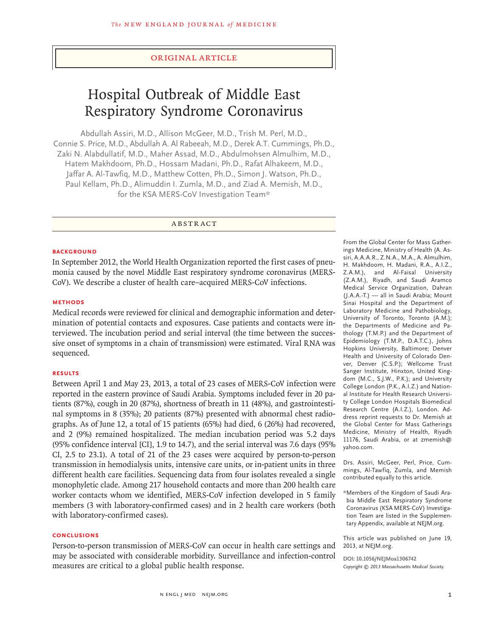## original article

# Hospital Outbreak of Middle East Respiratory Syndrome Coronavirus

Abdullah Assiri, M.D., Allison McGeer, M.D., Trish M. Perl, M.D., Connie S. Price, M.D., Abdullah A. Al Rabeeah, M.D., Derek A.T. Cummings, Ph.D., Zaki N. Alabdullatif, M.D., Maher Assad, M.D., Abdulmohsen Almulhim, M.D., Hatem Makhdoom, Ph.D., Hossam Madani, Ph.D., Rafat Alhakeem, M.D., Jaffar A. Al-Tawfiq, M.D., Matthew Cotten, Ph.D., Simon J. Watson, Ph.D., Paul Kellam, Ph.D., Alimuddin I. Zumla, M.D., and Ziad A. Memish, M.D., for the KSA MERS-CoV Investigation Team\*

**ABSTRACT** 

#### **BACKGROUND**

In September 2012, the World Health Organization reported the first cases of pneumonia caused by the novel Middle East respiratory syndrome coronavirus (MERS-CoV). We describe a cluster of health care–acquired MERS-CoV infections.

#### **METHODS**

Medical records were reviewed for clinical and demographic information and determination of potential contacts and exposures. Case patients and contacts were interviewed. The incubation period and serial interval (the time between the successive onset of symptoms in a chain of transmission) were estimated. Viral RNA was sequenced.

#### **RESULTS**

Between April 1 and May 23, 2013, a total of 23 cases of MERS-CoV infection were reported in the eastern province of Saudi Arabia. Symptoms included fever in 20 patients (87%), cough in 20 (87%), shortness of breath in 11 (48%), and gastrointestinal symptoms in 8 (35%); 20 patients (87%) presented with abnormal chest radiographs. As of June 12, a total of 15 patients (65%) had died, 6 (26%) had recovered, and 2 (9%) remained hospitalized. The median incubation period was 5.2 days (95% confidence interval [CI], 1.9 to 14.7), and the serial interval was 7.6 days (95% CI, 2.5 to 23.1). A total of 21 of the 23 cases were acquired by person-to-person transmission in hemodialysis units, intensive care units, or in-patient units in three different health care facilities. Sequencing data from four isolates revealed a single monophyletic clade. Among 217 household contacts and more than 200 health care worker contacts whom we identified, MERS-CoV infection developed in 5 family members (3 with laboratory-confirmed cases) and in 2 health care workers (both with laboratory-confirmed cases).

# **CONCLUSIONS**

Person-to-person transmission of MERS-CoV can occur in health care settings and may be associated with considerable morbidity. Surveillance and infection-control measures are critical to a global public health response.

From the Global Center for Mass Gatherings Medicine, Ministry of Health (A. Assiri, A.A.A.R., Z.N.A., M.A., A. Almulhim, H. Makhdoom, H. Madani, R.A., A.I.Z., Z.A.M.), and Al-Faisal University (Z.A.M.), Riyadh, and Saudi Aramco Medical Service Organization, Dahran (J.A.A.-T.) — all in Saudi Arabia; Mount Sinai Hospital and the Department of Laboratory Medicine and Pathobiology, University of Toronto, Toronto (A.M.); the Departments of Medicine and Pathology (T.M.P.) and the Department of Epidemiology (T.M.P., D.A.T.C.), Johns Hopkins University, Baltimore; Denver Health and University of Colorado Denver, Denver (C.S.P.); Wellcome Trust Sanger Institute, Hinxton, United Kingdom (M.C., S.J.W., P.K.); and University College London (P.K., A.I.Z.) and National Institute for Health Research University College London Hospitals Biomedical Research Centre (A.I.Z.), London. Address reprint requests to Dr. Memish at the Global Center for Mass Gatherings Medicine, Ministry of Health, Riyadh 11176, Saudi Arabia, or at zmemish@ yahoo.com.

Drs. Assiri, McGeer, Perl, Price, Cummings, Al-Tawfiq, Zumla, and Memish contributed equally to this article.

\*Members of the Kingdom of Saudi Arabia Middle East Respiratory Syndrome Coronavirus (KSA MERS-CoV) Investigation Team are listed in the Supplementary Appendix, available at NEJM.org.

This article was published on June 19, 2013, at NEJM.org.

**DOI: 10.1056/NEJMoa1306742** *Copyright © 2013 Massachusetts Medical Society.*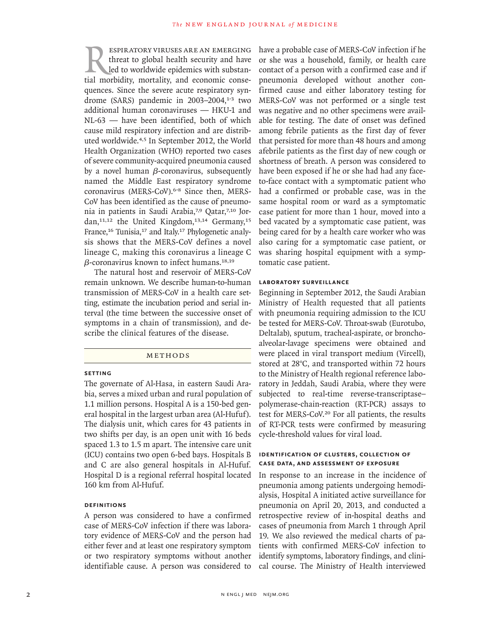Respiratory viruses are an emerging threat to global health security and have led to worldwide epidemics with substantial morbidity, mortality, and economic consequences. Since the severe acute respiratory syndrome (SARS) pandemic in  $2003-2004$ ,<sup>1-3</sup> two additional human coronaviruses — HKU-1 and NL-63 — have been identified, both of which cause mild respiratory infection and are distributed worldwide.4,5 In September 2012, the World Health Organization (WHO) reported two cases of severe community-acquired pneumonia caused by a novel human  $\beta$ -coronavirus, subsequently named the Middle East respiratory syndrome coronavirus (MERS-CoV).6-8 Since then, MERS-CoV has been identified as the cause of pneumonia in patients in Saudi Arabia,<sup>7,9</sup> Qatar,<sup>7,10</sup> Jordan,<sup>11,12</sup> the United Kingdom,<sup>13,14</sup> Germany,<sup>15</sup> France,<sup>16</sup> Tunisia,<sup>17</sup> and Italy.<sup>17</sup> Phylogenetic analysis shows that the MERS-CoV defines a novel lineage C, making this coronavirus a lineage C  $\beta$ -coronavirus known to infect humans.<sup>18,19</sup>

The natural host and reservoir of MERS-CoV remain unknown. We describe human-to-human transmission of MERS-CoV in a health care setting, estimate the incubation period and serial interval (the time between the successive onset of symptoms in a chain of transmission), and describe the clinical features of the disease.

#### **METHODS**

# **Setting**

The governate of Al-Hasa, in eastern Saudi Arabia, serves a mixed urban and rural population of 1.1 million persons. Hospital A is a 150-bed general hospital in the largest urban area (Al-Hufuf). The dialysis unit, which cares for 43 patients in two shifts per day, is an open unit with 16 beds spaced 1.3 to 1.5 m apart. The intensive care unit (ICU) contains two open 6-bed bays. Hospitals B and C are also general hospitals in Al-Hufuf. Hospital D is a regional referral hospital located 160 km from Al-Hufuf.

## **Definitions**

A person was considered to have a confirmed case of MERS-CoV infection if there was laboratory evidence of MERS-CoV and the person had either fever and at least one respiratory symptom or two respiratory symptoms without another identifiable cause. A person was considered to

have a probable case of MERS-CoV infection if he or she was a household, family, or health care contact of a person with a confirmed case and if pneumonia developed without another confirmed cause and either laboratory testing for MERS-CoV was not performed or a single test was negative and no other specimens were available for testing. The date of onset was defined among febrile patients as the first day of fever that persisted for more than 48 hours and among afebrile patients as the first day of new cough or shortness of breath. A person was considered to have been exposed if he or she had had any faceto-face contact with a symptomatic patient who had a confirmed or probable case, was in the same hospital room or ward as a symptomatic case patient for more than 1 hour, moved into a bed vacated by a symptomatic case patient, was being cared for by a health care worker who was also caring for a symptomatic case patient, or was sharing hospital equipment with a symptomatic case patient.

#### **Laboratory Surveillance**

Beginning in September 2012, the Saudi Arabian Ministry of Health requested that all patients with pneumonia requiring admission to the ICU be tested for MERS-CoV. Throat-swab (Eurotubo, Deltalab), sputum, tracheal-aspirate, or bronchoalveolar-lavage specimens were obtained and were placed in viral transport medium (Vircell), stored at 28°C, and transported within 72 hours to the Ministry of Health regional reference laboratory in Jeddah, Saudi Arabia, where they were subjected to real-time reverse-transcriptase– polymerase-chain-reaction (RT-PCR) assays to test for MERS-CoV.<sup>20</sup> For all patients, the results of RT-PCR tests were confirmed by measuring cycle-threshold values for viral load.

## **Identification of Clusters, Collection of Case Data, and Assessment of Exposure**

In response to an increase in the incidence of pneumonia among patients undergoing hemodialysis, Hospital A initiated active surveillance for pneumonia on April 20, 2013, and conducted a retrospective review of in-hospital deaths and cases of pneumonia from March 1 through April 19. We also reviewed the medical charts of patients with confirmed MERS-CoV infection to identify symptoms, laboratory findings, and clinical course. The Ministry of Health interviewed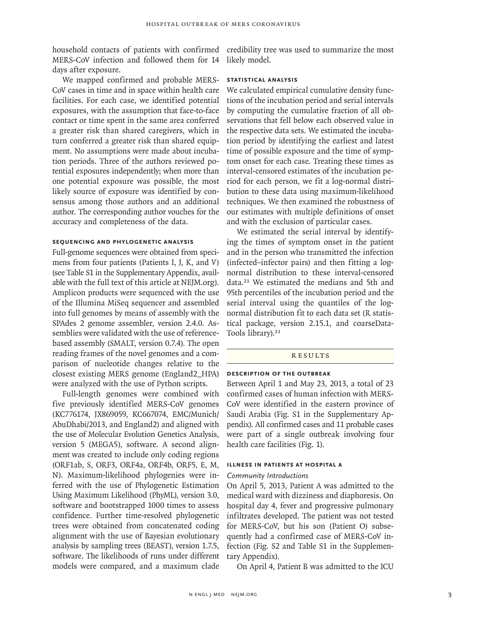household contacts of patients with confirmed credibility tree was used to summarize the most MERS-CoV infection and followed them for 14 days after exposure.

We mapped confirmed and probable MERS-CoV cases in time and in space within health care facilities. For each case, we identified potential exposures, with the assumption that face-to-face contact or time spent in the same area conferred a greater risk than shared caregivers, which in turn conferred a greater risk than shared equipment. No assumptions were made about incubation periods. Three of the authors reviewed potential exposures independently; when more than one potential exposure was possible, the most likely source of exposure was identified by consensus among those authors and an additional author. The corresponding author vouches for the accuracy and completeness of the data.

# **Sequencing and Phylogenetic Analysis**

Full-genome sequences were obtained from specimens from four patients (Patients I, J, K, and V) (see Table S1 in the Supplementary Appendix, available with the full text of this article at NEJM.org). Amplicon products were sequenced with the use of the Illumina MiSeq sequencer and assembled into full genomes by means of assembly with the SPAdes 2 genome assembler, version 2.4.0. Assemblies were validated with the use of referencebased assembly (SMALT, version 0.7.4). The open reading frames of the novel genomes and a comparison of nucleotide changes relative to the closest existing MERS genome (England2\_HPA) were analyzed with the use of Python scripts.

Full-length genomes were combined with five previously identified MERS-CoV genomes (KC776174, JX869059, KC667074, EMC/Munich/ AbuDhabi/2013, and England2) and aligned with the use of Molecular Evolution Genetics Analysis, version 5 (MEGA5), software. A second alignment was created to include only coding regions (ORF1ab, S, ORF3, ORF4a, ORF4b, ORF5, E, M, N). Maximum-likelihood phylogenies were inferred with the use of Phylogenetic Estimation Using Maximum Likelihood (PhyML), version 3.0, software and bootstrapped 1000 times to assess confidence. Further time-resolved phylogenetic trees were obtained from concatenated coding alignment with the use of Bayesian evolutionary analysis by sampling trees (BEAST), version 1.7.5, software. The likelihoods of runs under different models were compared, and a maximum clade

likely model.

#### **Statistical Analysis**

We calculated empirical cumulative density functions of the incubation period and serial intervals by computing the cumulative fraction of all observations that fell below each observed value in the respective data sets. We estimated the incubation period by identifying the earliest and latest time of possible exposure and the time of symptom onset for each case. Treating these times as interval-censored estimates of the incubation period for each person, we fit a log-normal distribution to these data using maximum-likelihood techniques. We then examined the robustness of our estimates with multiple definitions of onset and with the exclusion of particular cases.

We estimated the serial interval by identifying the times of symptom onset in the patient and in the person who transmitted the infection (infected–infector pairs) and then fitting a lognormal distribution to these interval-censored data.21 We estimated the medians and 5th and 95th percentiles of the incubation period and the serial interval using the quantiles of the lognormal distribution fit to each data set (R statistical package, version 2.15.1, and coarseData-Tools library).<sup>21</sup>

#### **RESULTS**

# **Description of the Outbreak**

Between April 1 and May 23, 2013, a total of 23 confirmed cases of human infection with MERS-CoV were identified in the eastern province of Saudi Arabia (Fig. S1 in the Supplementary Appendix). All confirmed cases and 11 probable cases were part of a single outbreak involving four health care facilities (Fig. 1).

# **Illness in Patients at Hospital A**

# *Community Introductions*

On April 5, 2013, Patient A was admitted to the medical ward with dizziness and diaphoresis. On hospital day 4, fever and progressive pulmonary infiltrates developed. The patient was not tested for MERS-CoV, but his son (Patient O) subsequently had a confirmed case of MERS-CoV infection (Fig. S2 and Table S1 in the Supplementary Appendix).

On April 4, Patient B was admitted to the ICU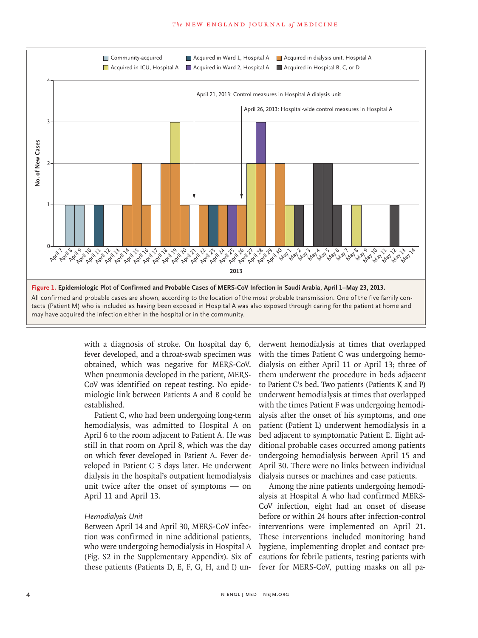#### The NEW ENGLAND JOURNAL of MEDICINE



with a diagnosis of stroke. On hospital day 6, fever developed, and a throat-swab specimen was obtained, which was negative for MERS-CoV. When pneumonia developed in the patient, MERS-CoV was identified on repeat testing. No epidemiologic link between Patients A and B could be established.

Patient C, who had been undergoing long-term hemodialysis, was admitted to Hospital A on April 6 to the room adjacent to Patient A. He was still in that room on April 8, which was the day on which fever developed in Patient A. Fever developed in Patient C 3 days later. He underwent dialysis in the hospital's outpatient hemodialysis unit twice after the onset of symptoms — on April 11 and April 13.

#### *Hemodialysis Unit*

Between April 14 and April 30, MERS-CoV infection was confirmed in nine additional patients, who were undergoing hemodialysis in Hospital A (Fig. S2 in the Supplementary Appendix). Six of these patients (Patients D, E, F, G, H, and I) underwent hemodialysis at times that overlapped with the times Patient C was undergoing hemodialysis on either April 11 or April 13; three of them underwent the procedure in beds adjacent to Patient C's bed. Two patients (Patients K and P) underwent hemodialysis at times that overlapped with the times Patient F was undergoing hemodialysis after the onset of his symptoms, and one patient (Patient L) underwent hemodialysis in a bed adjacent to symptomatic Patient E. Eight additional probable cases occurred among patients undergoing hemodialysis between April 15 and April 30. There were no links between individual dialysis nurses or machines and case patients.

Among the nine patients undergoing hemodialysis at Hospital A who had confirmed MERS-CoV infection, eight had an onset of disease before or within 24 hours after infection-control interventions were implemented on April 21. These interventions included monitoring hand hygiene, implementing droplet and contact precautions for febrile patients, testing patients with fever for MERS-CoV, putting masks on all pa-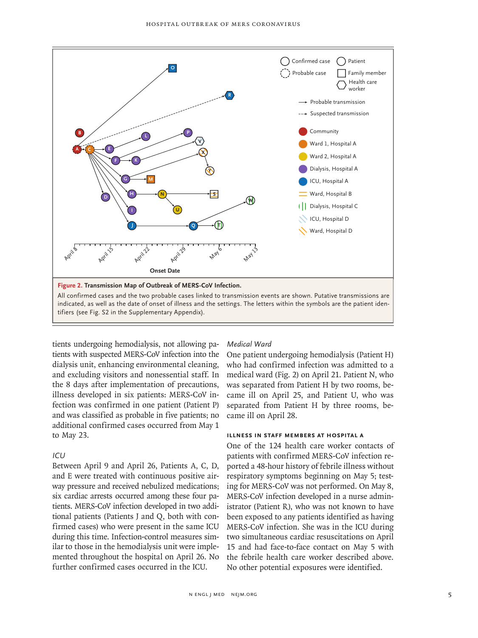

tients undergoing hemodialysis, not allowing patients with suspected MERS-CoV infection into the dialysis unit, enhancing environmental cleaning, and excluding visitors and nonessential staff. In the 8 days after implementation of precautions, illness developed in six patients: MERS-CoV infection was confirmed in one patient (Patient P) and was classified as probable in five patients; no additional confirmed cases occurred from May 1 to May 23.

# *ICU*

Between April 9 and April 26, Patients A, C, D, and E were treated with continuous positive airway pressure and received nebulized medications; six cardiac arrests occurred among these four patients. MERS-CoV infection developed in two additional patients (Patients J and Q, both with confirmed cases) who were present in the same ICU during this time. Infection-control measures similar to those in the hemodialysis unit were implemented throughout the hospital on April 26. No further confirmed cases occurred in the ICU.

# *Medical Ward*

One patient undergoing hemodialysis (Patient H) who had confirmed infection was admitted to a medical ward (Fig. 2) on April 21. Patient N, who was separated from Patient H by two rooms, became ill on April 25, and Patient U, who was separated from Patient H by three rooms, became ill on April 28.

# **Illness in Staff Members at Hospital A**

One of the 124 health care worker contacts of patients with confirmed MERS-CoV infection reported a 48-hour history of febrile illness without respiratory symptoms beginning on May 5; testing for MERS-CoV was not performed. On May 8, MERS-CoV infection developed in a nurse administrator (Patient R), who was not known to have been exposed to any patients identified as having MERS-CoV infection. She was in the ICU during two simultaneous cardiac resuscitations on April 15 and had face-to-face contact on May 5 with the febrile health care worker described above. No other potential exposures were identified.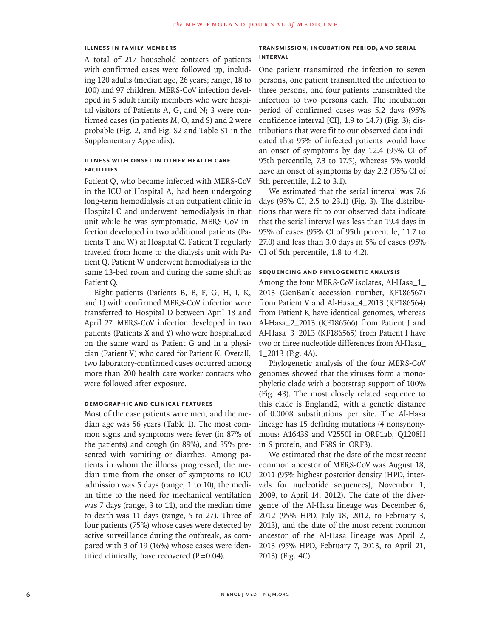# **Illness in Family Members**

A total of 217 household contacts of patients with confirmed cases were followed up, including 120 adults (median age, 26 years; range, 18 to 100) and 97 children. MERS-CoV infection developed in 5 adult family members who were hospital visitors of Patients A, G, and N; 3 were confirmed cases (in patients M, O, and S) and 2 were probable (Fig. 2, and Fig. S2 and Table S1 in the Supplementary Appendix).

# **Illness with Onset in Other health care facilities**

Patient Q, who became infected with MERS-CoV in the ICU of Hospital A, had been undergoing long-term hemodialysis at an outpatient clinic in Hospital C and underwent hemodialysis in that unit while he was symptomatic. MERS-CoV infection developed in two additional patients (Patients T and W) at Hospital C. Patient T regularly traveled from home to the dialysis unit with Patient Q. Patient W underwent hemodialysis in the same 13-bed room and during the same shift as Patient Q.

Eight patients (Patients B, E, F, G, H, I, K, and L) with confirmed MERS-CoV infection were transferred to Hospital D between April 18 and April 27. MERS-CoV infection developed in two patients (Patients X and Y) who were hospitalized on the same ward as Patient G and in a physician (Patient V) who cared for Patient K. Overall, two laboratory-confirmed cases occurred among more than 200 health care worker contacts who were followed after exposure.

## **Demographic and Clinical Features**

Most of the case patients were men, and the median age was 56 years (Table 1). The most common signs and symptoms were fever (in 87% of the patients) and cough (in 89%), and 35% presented with vomiting or diarrhea. Among patients in whom the illness progressed, the median time from the onset of symptoms to ICU admission was 5 days (range, 1 to 10), the median time to the need for mechanical ventilation was 7 days (range, 3 to 11), and the median time to death was 11 days (range, 5 to 27). Three of four patients (75%) whose cases were detected by active surveillance during the outbreak, as compared with 3 of 19 (16%) whose cases were identified clinically, have recovered  $(P=0.04)$ .

# **Transmission, Incubation Period, and Serial Interval**

One patient transmitted the infection to seven persons, one patient transmitted the infection to three persons, and four patients transmitted the infection to two persons each. The incubation period of confirmed cases was 5.2 days (95% confidence interval [CI], 1.9 to 14.7) (Fig. 3); distributions that were fit to our observed data indicated that 95% of infected patients would have an onset of symptoms by day 12.4 (95% CI of 95th percentile, 7.3 to 17.5), whereas 5% would have an onset of symptoms by day 2.2 (95% CI of 5th percentile, 1.2 to 3.1).

We estimated that the serial interval was 7.6 days (95% CI, 2.5 to 23.1) (Fig. 3). The distributions that were fit to our observed data indicate that the serial interval was less than 19.4 days in 95% of cases (95% CI of 95th percentile, 11.7 to 27.0) and less than 3.0 days in 5% of cases (95% CI of 5th percentile, 1.8 to 4.2).

#### **Sequencing and Phylogenetic Analysis**

Among the four MERS-CoV isolates, Al-Hasa\_1\_ 2013 (GenBank accession number, KF186567) from Patient V and Al-Hasa\_4\_2013 (KF186564) from Patient K have identical genomes, whereas Al-Hasa\_2\_2013 (KF186566) from Patient J and Al-Hasa\_3\_2013 (KF186565) from Patient I have two or three nucleotide differences from Al-Hasa\_ 1\_2013 (Fig. 4A).

Phylogenetic analysis of the four MERS-CoV genomes showed that the viruses form a monophyletic clade with a bootstrap support of 100% (Fig. 4B). The most closely related sequence to this clade is England2, with a genetic distance of 0.0008 substitutions per site. The Al-Hasa lineage has 15 defining mutations (4 nonsynonymous: A1643S and V2550I in ORF1ab, Q1208H in S protein, and F58S in ORF3).

We estimated that the date of the most recent common ancestor of MERS-CoV was August 18, 2011 (95% highest posterior density [HPD, intervals for nucleotide sequences], November 1, 2009, to April 14, 2012). The date of the divergence of the Al-Hasa lineage was December 6, 2012 (95% HPD, July 18, 2012, to February 3, 2013), and the date of the most recent common ancestor of the Al-Hasa lineage was April 2, 2013 (95% HPD, February 7, 2013, to April 21, 2013) (Fig. 4C).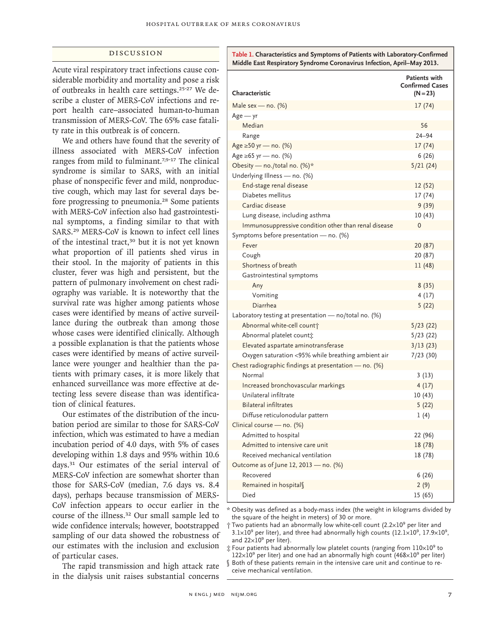# Discussion

Acute viral respiratory tract infections cause considerable morbidity and mortality and pose a risk of outbreaks in health care settings.<sup>25-27</sup> We describe a cluster of MERS-CoV infections and report health care–associated human-to-human transmission of MERS-CoV. The 65% case fatality rate in this outbreak is of concern.

We and others have found that the severity of illness associated with MERS-CoV infection ranges from mild to fulminant.7,9-17 The clinical syndrome is similar to SARS, with an initial phase of nonspecific fever and mild, nonproductive cough, which may last for several days before progressing to pneumonia.28 Some patients with MERS-CoV infection also had gastrointestinal symptoms, a finding similar to that with SARS.29 MERS-CoV is known to infect cell lines of the intestinal tract,<sup>30</sup> but it is not yet known what proportion of ill patients shed virus in their stool. In the majority of patients in this cluster, fever was high and persistent, but the pattern of pulmonary involvement on chest radiography was variable. It is noteworthy that the survival rate was higher among patients whose cases were identified by means of active surveillance during the outbreak than among those whose cases were identified clinically. Although a possible explanation is that the patients whose cases were identified by means of active surveillance were younger and healthier than the patients with primary cases, it is more likely that enhanced surveillance was more effective at detecting less severe disease than was identification of clinical features.

Our estimates of the distribution of the incubation period are similar to those for SARS-CoV infection, which was estimated to have a median incubation period of 4.0 days, with 5% of cases developing within 1.8 days and 95% within 10.6 days.31 Our estimates of the serial interval of MERS-CoV infection are somewhat shorter than those for SARS-CoV (median, 7.6 days vs. 8.4 days), perhaps because transmission of MERS-CoV infection appears to occur earlier in the course of the illness.32 Our small sample led to wide confidence intervals; however, bootstrapped sampling of our data showed the robustness of our estimates with the inclusion and exclusion of particular cases.

The rapid transmission and high attack rate in the dialysis unit raises substantial concerns

**Table 1. Characteristics and Symptoms of Patients with Laboratory-Confirmed Middle East Respiratory Syndrome Coronavirus Infection, April–May 2013.**

|                                                         | <b>Patients with</b><br><b>Confirmed Cases</b> |
|---------------------------------------------------------|------------------------------------------------|
| Characteristic                                          | $(N = 23)$                                     |
| Male sex - no. $(\%)$                                   | 17(74)                                         |
| $Age - yr$                                              |                                                |
| Median                                                  | 56                                             |
| Range                                                   | $24 - 94$                                      |
| Age ≥50 yr – no. (%)                                    | 17 (74)                                        |
| Age ≥65 yr — no. (%)                                    | 6(26)                                          |
| Obesity — no./total no. $(\%)^*$                        | 5/21(24)                                       |
| Underlying Illness - no. (%)                            |                                                |
| End-stage renal disease                                 | 12 (52)                                        |
| Diabetes mellitus                                       | 17 (74)                                        |
| Cardiac disease                                         | 9(39)                                          |
| Lung disease, including asthma                          | 10 (43)                                        |
| Immunosuppressive condition other than renal disease    | 0                                              |
| Symptoms before presentation - no. (%)                  |                                                |
| Fever                                                   | 20 (87)                                        |
| Cough                                                   | 20 (87)                                        |
| Shortness of breath                                     | 11 (48)                                        |
| Gastrointestinal symptoms                               |                                                |
| Any                                                     | 8(35)                                          |
| Vomiting                                                | 4(17)                                          |
| Diarrhea                                                | 5(22)                                          |
| Laboratory testing at presentation — no/total no. (%)   |                                                |
| Abnormal white-cell count                               | 5/23(22)                                       |
| Abnormal platelet count <sup>*</sup>                    | 5/23(22)                                       |
| Elevated aspartate aminotransferase                     | 3/13(23)                                       |
| Oxygen saturation <95% while breathing ambient air      | 7/23(30)                                       |
| Chest radiographic findings at presentation $-$ no. (%) |                                                |
| Normal                                                  | 3(13)                                          |
| Increased bronchovascular markings                      | 4(17)                                          |
| Unilateral infiltrate                                   | 10(43)                                         |
| <b>Bilateral infiltrates</b>                            | 5(22)                                          |
| Diffuse reticulonodular pattern                         | 1(4)                                           |
| Clinical course - no. (%)                               |                                                |
| Admitted to hospital                                    | 22 (96)                                        |
| Admitted to intensive care unit                         | 18 (78)                                        |
| Received mechanical ventilation                         | 18 (78)                                        |
| Outcome as of June 12, 2013 - no. (%)                   |                                                |
| Recovered                                               | 6(26)                                          |
| Remained in hospitals                                   | 2(9)                                           |
| Died                                                    | 15 (65)                                        |

\* Obesity was defined as a body-mass index (the weight in kilograms divided by the square of the height in meters) of 30 or more.

<sup>†</sup> Two patients had an abnormally low white-cell count (2.2×10<sup>9</sup> per liter and  $3.1 \times 10^9$  per liter), and three had abnormally high counts ( $12.1 \times 10^9$ ,  $17.9 \times 10^9$ , and  $22\times10^9$  per liter).

 $\ddagger$  Four patients had abnormally low platelet counts (ranging from  $110 \times 10^9$  to  $122\times10^9$  per liter) and one had an abnormally high count (468 $\times10^9$  per liter)

§ Both of these patients remain in the intensive care unit and continue to receive mechanical ventilation.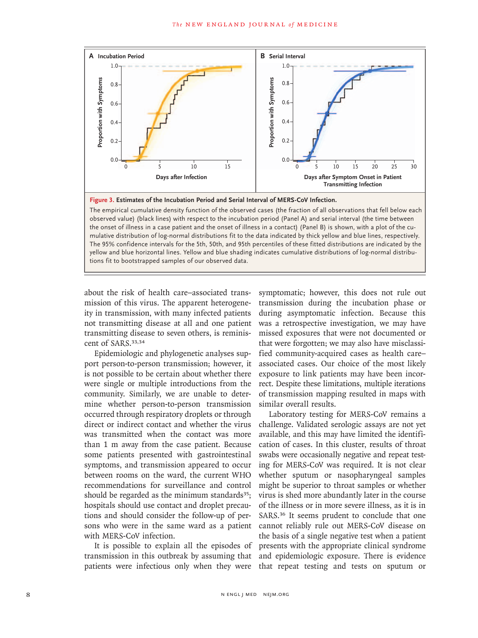

The empirical cumulative density function of the observed cases (the fraction of all observations that fell below each observed value) (black lines) with respect to the incubation period (Panel A) and serial interval (the time between the onset of illness in a case patient and the onset of illness in a contact) (Panel B) is shown, with a plot of the cumulative distribution of log-normal distributions fit to the data indicated by thick yellow and blue lines, respectively. The 95% confidence intervals for the 5th, 50th, and 95th percentiles of these fitted distributions are indicated by the yellow and blue horizontal lines. Yellow and blue shading indicates cumulative distributions of log-normal distributions fit to bootstrapped samples of our observed data.

about the risk of health care–associated transmission of this virus. The apparent heterogeneity in transmission, with many infected patients not transmitting disease at all and one patient transmitting disease to seven others, is reminiscent of SARS.<sup>33,34</sup>

Epidemiologic and phylogenetic analyses support person-to-person transmission; however, it is not possible to be certain about whether there were single or multiple introductions from the community. Similarly, we are unable to determine whether person-to-person transmission occurred through respiratory droplets or through direct or indirect contact and whether the virus was transmitted when the contact was more than 1 m away from the case patient. Because some patients presented with gastrointestinal symptoms, and transmission appeared to occur between rooms on the ward, the current WHO recommendations for surveillance and control should be regarded as the minimum standards $35$ ; hospitals should use contact and droplet precautions and should consider the follow-up of persons who were in the same ward as a patient with MERS-CoV infection.

It is possible to explain all the episodes of transmission in this outbreak by assuming that patients were infectious only when they were symptomatic; however, this does not rule out transmission during the incubation phase or during asymptomatic infection. Because this was a retrospective investigation, we may have missed exposures that were not documented or that were forgotten; we may also have misclassified community-acquired cases as health care– associated cases. Our choice of the most likely exposure to link patients may have been incorrect. Despite these limitations, multiple iterations of transmission mapping resulted in maps with similar overall results.

Laboratory testing for MERS-CoV remains a challenge. Validated serologic assays are not yet available, and this may have limited the identification of cases. In this cluster, results of throat swabs were occasionally negative and repeat testing for MERS-CoV was required. It is not clear whether sputum or nasopharyngeal samples might be superior to throat samples or whether virus is shed more abundantly later in the course of the illness or in more severe illness, as it is in SARS.<sup>36</sup> It seems prudent to conclude that one cannot reliably rule out MERS-CoV disease on the basis of a single negative test when a patient presents with the appropriate clinical syndrome and epidemiologic exposure. There is evidence that repeat testing and tests on sputum or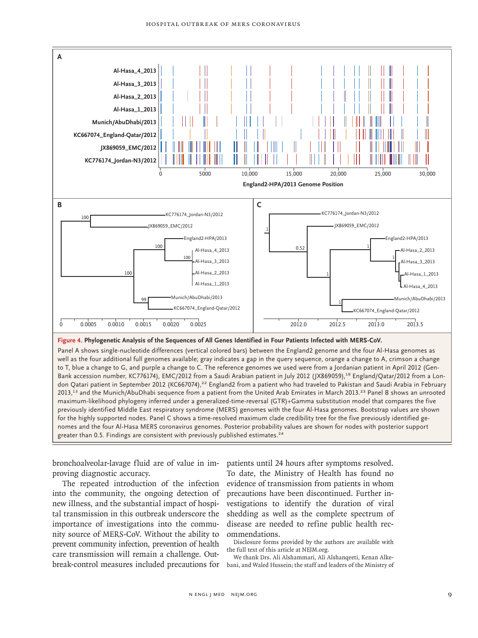

Bank accession number, KC776174), EMC/2012 from a Saudi Arabian patient in July 2012 (JX869059),<sup>19</sup> England/Qatar/2012 from a London Qatari patient in September 2012 (KC667074),<sup>22</sup> England2 from a patient who had traveled to Pakistan and Saudi Arabia in February 2013,<sup>13</sup> and the Munich/AbuDhabi sequence from a patient from the United Arab Emirates in March 2013.<sup>23</sup> Panel B shows an unrooted maximum-likelihood phylogeny inferred under a generalized-time-reversal (GTR)+Gamma substitution model that compares the five previously identified Middle East respiratory syndrome (MERS) genomes with the four Al-Hasa genomes. Bootstrap values are shown for the highly supported nodes. Panel C shows a time-resolved maximum clade credibility tree for the five previously identified genomes and the four Al-Hasa MERS coronavirus genomes. Posterior probability values are shown for nodes with posterior support greater than 0.5. Findings are consistent with previously published estimates.<sup>24</sup>

bronchoalveolar-lavage fluid are of value in improving diagnostic accuracy.

The repeated introduction of the infection into the community, the ongoing detection of new illness, and the substantial impact of hospital transmission in this outbreak underscore the importance of investigations into the community source of MERS-CoV. Without the ability to prevent community infection, prevention of health care transmission will remain a challenge. Outbreak-control measures included precautions for

patients until 24 hours after symptoms resolved. To date, the Ministry of Health has found no evidence of transmission from patients in whom precautions have been discontinued. Further investigations to identify the duration of viral shedding as well as the complete spectrum of disease are needed to refine public health recommendations.

Disclosure forms provided by the authors are available with the full text of this article at NEJM.org.

We thank Drs. Ali Alshammari, Ali Alshanqeeti, Kenan Alkebani, and Waled Hussein; the staff and leaders of the Ministry of